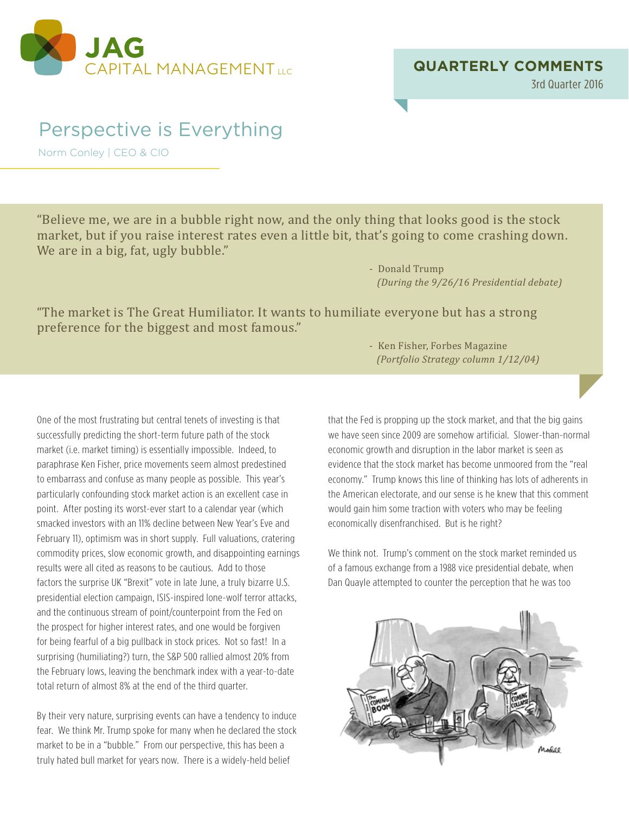

3rd Quarter 2016

## Perspective is Everything

Norm Conley | CEO & CIO

"Believe me, we are in a bubble right now, and the only thing that looks good is the stock market, but if you raise interest rates even a little bit, that's going to come crashing down. We are in a big, fat, ugly bubble."

> - Donald Trump *(During the 9/26/16 Presidential debate)*

"The market is The Great Humiliator. It wants to humiliate everyone but has a strong preference for the biggest and most famous."

One of the most frustrating but central tenets of investing is that successfully predicting the short-term future path of the stock market (i.e. market timing) is essentially impossible. Indeed, to paraphrase Ken Fisher, price movements seem almost predestined to embarrass and confuse as many people as possible. This year's particularly confounding stock market action is an excellent case in point. After posting its worst-ever start to a calendar year (which smacked investors with an 11% decline between New Year's Eve and February 11), optimism was in short supply. Full valuations, cratering commodity prices, slow economic growth, and disappointing earnings results were all cited as reasons to be cautious. Add to those factors the surprise UK "Brexit" vote in late June, a truly bizarre U.S. presidential election campaign, ISIS-inspired lone-wolf terror attacks, and the continuous stream of point/counterpoint from the Fed on the prospect for higher interest rates, and one would be forgiven for being fearful of a big pullback in stock prices. Not so fast! In a surprising (humiliating?) turn, the S&P 500 rallied almost 20% from the February lows, leaving the benchmark index with a year-to-date total return of almost 8% at the end of the third quarter.

By their very nature, surprising events can have a tendency to induce fear. We think Mr. Trump spoke for many when he declared the stock market to be in a "bubble." From our perspective, this has been a truly hated bull market for years now. There is a widely-held belief

 - Ken Fisher, Forbes Magazine *(Portfolio Strategy column 1/12/04)*

that the Fed is propping up the stock market, and that the big gains we have seen since 2009 are somehow artificial. Slower-than-normal economic growth and disruption in the labor market is seen as evidence that the stock market has become unmoored from the "real economy." Trump knows this line of thinking has lots of adherents in the American electorate, and our sense is he knew that this comment would gain him some traction with voters who may be feeling economically disenfranchised. But is he right?

We think not. Trump's comment on the stock market reminded us of a famous exchange from a 1988 vice presidential debate, when Dan Quayle attempted to counter the perception that he was too

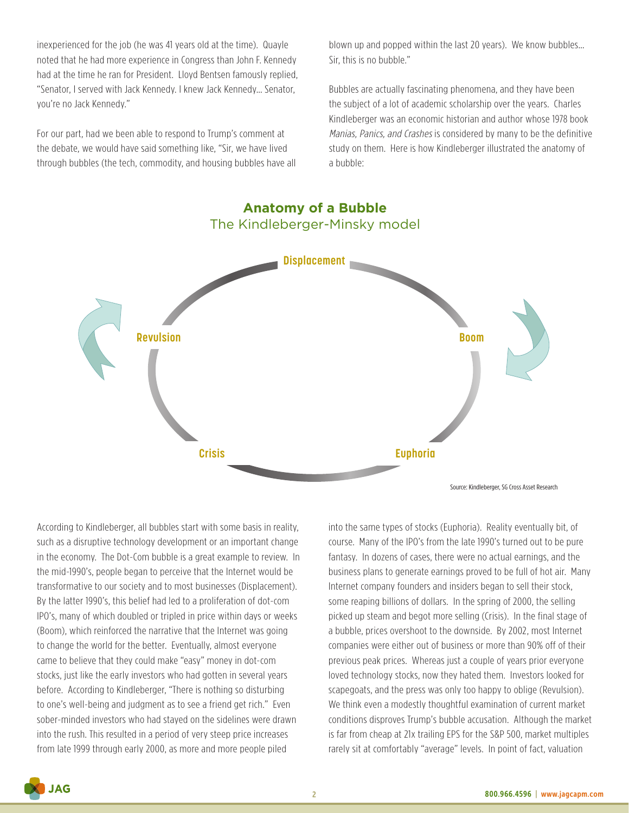inexperienced for the job (he was 41 years old at the time). Quayle noted that he had more experience in Congress than John F. Kennedy had at the time he ran for President. Lloyd Bentsen famously replied, "Senator, I served with Jack Kennedy. I knew Jack Kennedy… Senator, you're no Jack Kennedy."

For our part, had we been able to respond to Trump's comment at the debate, we would have said something like, "Sir, we have lived through bubbles (the tech, commodity, and housing bubbles have all blown up and popped within the last 20 years). We know bubbles… Sir, this is no bubble."

Bubbles are actually fascinating phenomena, and they have been the subject of a lot of academic scholarship over the years. Charles Kindleberger was an economic historian and author whose 1978 book Manias, Panics, and Crashes is considered by many to be the definitive study on them. Here is how Kindleberger illustrated the anatomy of a bubble:



According to Kindleberger, all bubbles start with some basis in reality, such as a disruptive technology development or an important change in the economy. The Dot-Com bubble is a great example to review. In the mid-1990's, people began to perceive that the Internet would be transformative to our society and to most businesses (Displacement). By the latter 1990's, this belief had led to a proliferation of dot-com IPO's, many of which doubled or tripled in price within days or weeks (Boom), which reinforced the narrative that the Internet was going to change the world for the better. Eventually, almost everyone came to believe that they could make "easy" money in dot-com stocks, just like the early investors who had gotten in several years before. According to Kindleberger, "There is nothing so disturbing to one's well-being and judgment as to see a friend get rich." Even sober-minded investors who had stayed on the sidelines were drawn into the rush. This resulted in a period of very steep price increases from late 1999 through early 2000, as more and more people piled

into the same types of stocks (Euphoria). Reality eventually bit, of course. Many of the IPO's from the late 1990's turned out to be pure fantasy. In dozens of cases, there were no actual earnings, and the business plans to generate earnings proved to be full of hot air. Many Internet company founders and insiders began to sell their stock, some reaping billions of dollars. In the spring of 2000, the selling picked up steam and begot more selling (Crisis). In the final stage of a bubble, prices overshoot to the downside. By 2002, most Internet companies were either out of business or more than 90% off of their previous peak prices. Whereas just a couple of years prior everyone loved technology stocks, now they hated them. Investors looked for scapegoats, and the press was only too happy to oblige (Revulsion). We think even a modestly thoughtful examination of current market conditions disproves Trump's bubble accusation. Although the market is far from cheap at 21x trailing EPS for the S&P 500, market multiples rarely sit at comfortably "average" levels. In point of fact, valuation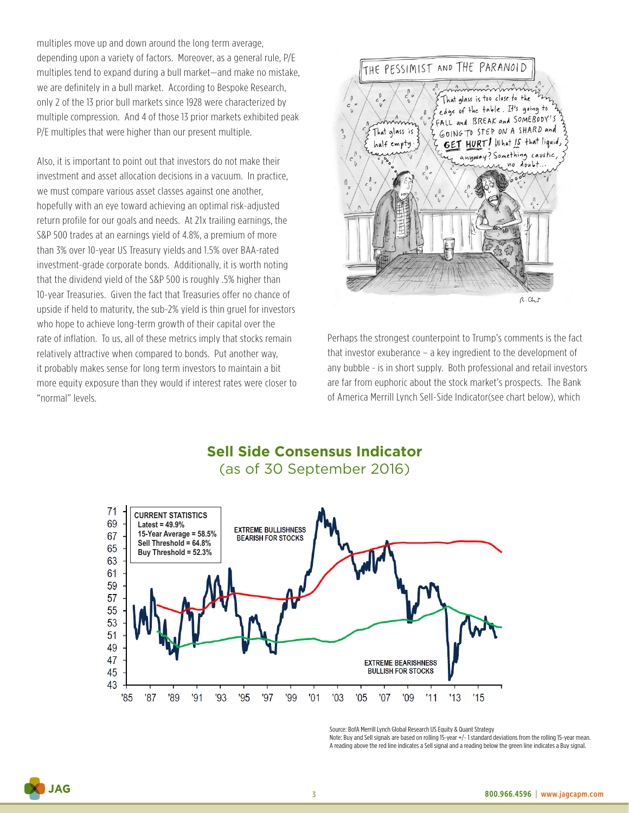multiples move up and down around the long term average, depending upon a variety of factors. Moreover, as a general rule, P/E multiples tend to expand during a bull market—and make no mistake, we are definitely in a bull market. According to Bespoke Research, only 2 of the 13 prior bull markets since 1928 were characterized by multiple compression. And 4 of those 13 prior markets exhibited peak P/E multiples that were higher than our present multiple.

Also, it is important to point out that investors do not make their investment and asset allocation decisions in a vacuum. In practice, we must compare various asset classes against one another, hopefully with an eye toward achieving an optimal risk-adjusted return profile for our goals and needs. At 21x trailing earnings, the S&P 500 trades at an earnings yield of 4.8%, a premium of more than 3% over 10-year US Treasury yields and 1.5% over BAA-rated investment-grade corporate bonds. Additionally, it is worth noting that the dividend yield of the S&P 500 is roughly .5% higher than 10-year Treasuries. Given the fact that Treasuries offer no chance of upside if held to maturity, the sub-2% yield is thin gruel for investors who hope to achieve long-term growth of their capital over the rate of inflation. To us, all of these metrics imply that stocks remain relatively attractive when compared to bonds. Put another way, it probably makes sense for long term investors to maintain a bit more equity exposure than they would if interest rates were closer to "normal" levels.



Perhaps the strongest counterpoint to Trump's comments is the fact that investor exuberance – a key ingredient to the development of any bubble - is in short supply. Both professional and retail investors are far from euphoric about the stock market's prospects. The Bank of America Merrill Lynch Sell-Side Indicator(see chart below), which





Source: BofA Merrill Lynch Global Research US Equity & Quant Strategy

Note: Buy and Sell signals are based on rolling 15-year +/- 1 standard deviations from the rolling 15-year mean. A reading above the red line indicates a Sell signal and a reading below the green line indicates a Buy signal.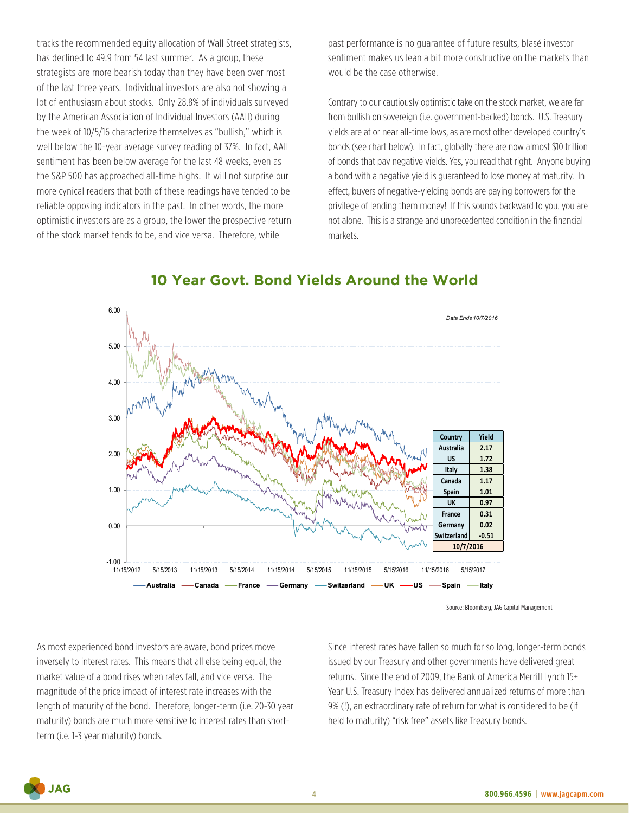tracks the recommended equity allocation of Wall Street strategists, has declined to 49.9 from 54 last summer. As a group, these strategists are more bearish today than they have been over most of the last three years. Individual investors are also not showing a lot of enthusiasm about stocks. Only 28.8% of individuals surveyed by the American Association of Individual Investors (AAII) during the week of 10/5/16 characterize themselves as "bullish," which is well below the 10-year average survey reading of 37%. In fact, AAII sentiment has been below average for the last 48 weeks, even as the S&P 500 has approached all-time highs. It will not surprise our more cynical readers that both of these readings have tended to be reliable opposing indicators in the past. In other words, the more optimistic investors are as a group, the lower the prospective return of the stock market tends to be, and vice versa. Therefore, while

past performance is no guarantee of future results, blasé investor sentiment makes us lean a bit more constructive on the markets than would be the case otherwise.

Contrary to our cautiously optimistic take on the stock market, we are far from bullish on sovereign (i.e. government-backed) bonds. U.S. Treasury yields are at or near all-time lows, as are most other developed country's bonds (see chart below). In fact, globally there are now almost \$10 trillion of bonds that pay negative yields. Yes, you read that right. Anyone buying a bond with a negative yield is guaranteed to lose money at maturity. In effect, buyers of negative-yielding bonds are paying borrowers for the privilege of lending them money! If this sounds backward to you, you are not alone. This is a strange and unprecedented condition in the financial markets.



## **10 Year Govt. Bond Yields Around the World**

As most experienced bond investors are aware, bond prices move inversely to interest rates. This means that all else being equal, the market value of a bond rises when rates fall, and vice versa. The magnitude of the price impact of interest rate increases with the length of maturity of the bond. Therefore, longer-term (i.e. 20-30 year maturity) bonds are much more sensitive to interest rates than shortterm (i.e. 1-3 year maturity) bonds.

Since interest rates have fallen so much for so long, longer-term bonds issued by our Treasury and other governments have delivered great returns. Since the end of 2009, the Bank of America Merrill Lynch 15+ Year U.S. Treasury Index has delivered annualized returns of more than 9% (!), an extraordinary rate of return for what is considered to be (if held to maturity) "risk free" assets like Treasury bonds.

**JAG** 

Source: Bloomberg, JAG Capital Management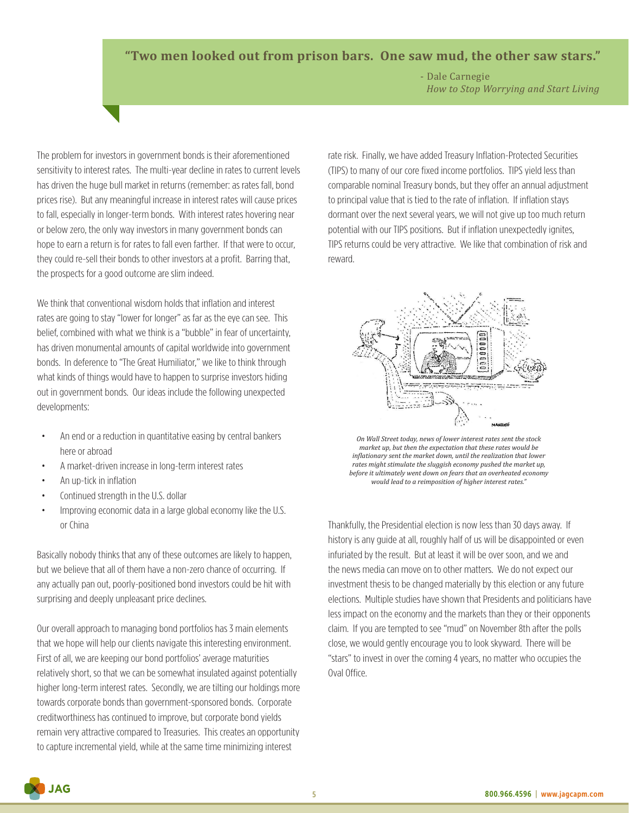## **"Two men looked out from prison bars. One saw mud, the other saw stars."**

 - Dale Carnegie *How to Stop Worrying and Start Living*

The problem for investors in government bonds is their aforementioned sensitivity to interest rates. The multi-year decline in rates to current levels has driven the huge bull market in returns (remember: as rates fall, bond prices rise). But any meaningful increase in interest rates will cause prices to fall, especially in longer-term bonds. With interest rates hovering near or below zero, the only way investors in many government bonds can hope to earn a return is for rates to fall even farther. If that were to occur, they could re-sell their bonds to other investors at a profit. Barring that, the prospects for a good outcome are slim indeed.

We think that conventional wisdom holds that inflation and interest rates are going to stay "lower for longer" as far as the eye can see. This belief, combined with what we think is a "bubble" in fear of uncertainty, has driven monumental amounts of capital worldwide into government bonds. In deference to "The Great Humiliator," we like to think through what kinds of things would have to happen to surprise investors hiding out in government bonds. Our ideas include the following unexpected developments:

- An end or a reduction in quantitative easing by central bankers here or abroad
- A market-driven increase in long-term interest rates
- An up-tick in inflation
- Continued strength in the U.S. dollar
- Improving economic data in a large global economy like the U.S. or China

Basically nobody thinks that any of these outcomes are likely to happen, but we believe that all of them have a non-zero chance of occurring. If any actually pan out, poorly-positioned bond investors could be hit with surprising and deeply unpleasant price declines.

Our overall approach to managing bond portfolios has 3 main elements that we hope will help our clients navigate this interesting environment. First of all, we are keeping our bond portfolios' average maturities relatively short, so that we can be somewhat insulated against potentially higher long-term interest rates. Secondly, we are tilting our holdings more towards corporate bonds than government-sponsored bonds. Corporate creditworthiness has continued to improve, but corporate bond yields remain very attractive compared to Treasuries. This creates an opportunity to capture incremental yield, while at the same time minimizing interest

rate risk. Finally, we have added Treasury Inflation-Protected Securities (TIPS) to many of our core fixed income portfolios. TIPS yield less than comparable nominal Treasury bonds, but they offer an annual adjustment to principal value that is tied to the rate of inflation. If inflation stays dormant over the next several years, we will not give up too much return potential with our TIPS positions. But if inflation unexpectedly ignites, TIPS returns could be very attractive. We like that combination of risk and reward.



*On Wall Street today, news of lower interest rates sent the stock market up, but then the expectation that these rates would be inflationary sent the market down, until the realization that lower rates might stimulate the sluggish economy pushed the market up, before it ultimately went down on fears that an overheated economy would lead to a reimposition of higher interest rates."*

Thankfully, the Presidential election is now less than 30 days away. If history is any guide at all, roughly half of us will be disappointed or even infuriated by the result. But at least it will be over soon, and we and the news media can move on to other matters. We do not expect our investment thesis to be changed materially by this election or any future elections. Multiple studies have shown that Presidents and politicians have less impact on the economy and the markets than they or their opponents claim. If you are tempted to see "mud" on November 8th after the polls close, we would gently encourage you to look skyward. There will be "stars" to invest in over the coming 4 years, no matter who occupies the Oval Office.

**JAG**